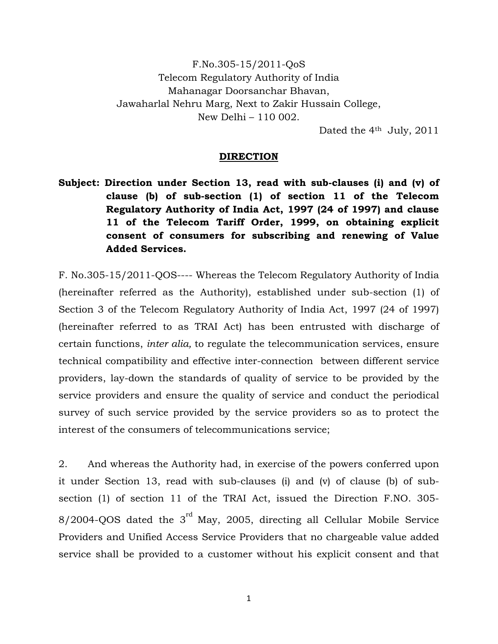F.No.305-15/2011-QoS Telecom Regulatory Authority of India Mahanagar Doorsanchar Bhavan, Jawaharlal Nehru Marg, Next to Zakir Hussain College, New Delhi – 110 002.

Dated the 4<sup>th</sup> July, 2011

## **DIRECTION**

**Subject: Direction under Section 13, read with sub-clauses (i) and (v) of clause (b) of sub-section (1) of section 11 of the Telecom Regulatory Authority of India Act, 1997 (24 of 1997) and clause 11 of the Telecom Tariff Order, 1999, on obtaining explicit consent of consumers for subscribing and renewing of Value Added Services.** 

F. No.305-15/2011-QOS---- Whereas the Telecom Regulatory Authority of India (hereinafter referred as the Authority), established under sub-section (1) of Section 3 of the Telecom Regulatory Authority of India Act, 1997 (24 of 1997) (hereinafter referred to as TRAI Act) has been entrusted with discharge of certain functions, *inter alia,* to regulate the telecommunication services, ensure technical compatibility and effective inter-connection between different service providers, lay-down the standards of quality of service to be provided by the service providers and ensure the quality of service and conduct the periodical survey of such service provided by the service providers so as to protect the interest of the consumers of telecommunications service;

2. And whereas the Authority had, in exercise of the powers conferred upon it under Section 13, read with sub-clauses (i) and (v) of clause (b) of subsection (1) of section 11 of the TRAI Act, issued the Direction F.NO. 305-  $8/2004$ -QOS dated the  $3<sup>rd</sup>$  May, 2005, directing all Cellular Mobile Service Providers and Unified Access Service Providers that no chargeable value added service shall be provided to a customer without his explicit consent and that

1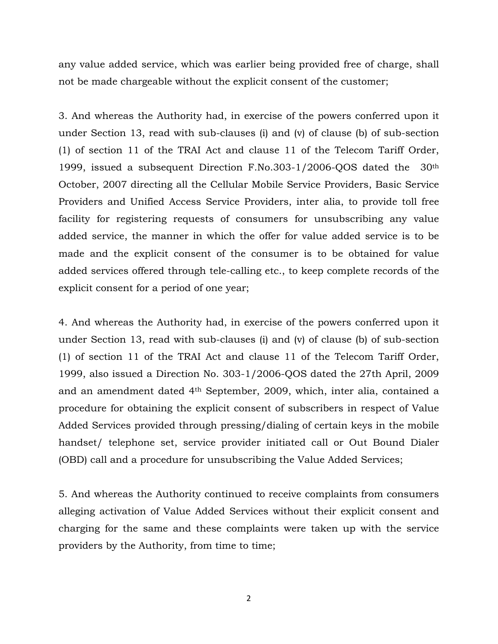any value added service, which was earlier being provided free of charge, shall not be made chargeable without the explicit consent of the customer;

3. And whereas the Authority had, in exercise of the powers conferred upon it under Section 13, read with sub-clauses (i) and (v) of clause (b) of sub-section (1) of section 11 of the TRAI Act and clause 11 of the Telecom Tariff Order, 1999, issued a subsequent Direction F.No.303-1/2006-QOS dated the 30th October, 2007 directing all the Cellular Mobile Service Providers, Basic Service Providers and Unified Access Service Providers, inter alia, to provide toll free facility for registering requests of consumers for unsubscribing any value added service, the manner in which the offer for value added service is to be made and the explicit consent of the consumer is to be obtained for value added services offered through tele-calling etc., to keep complete records of the explicit consent for a period of one year;

4. And whereas the Authority had, in exercise of the powers conferred upon it under Section 13, read with sub-clauses (i) and (v) of clause (b) of sub-section (1) of section 11 of the TRAI Act and clause 11 of the Telecom Tariff Order, 1999, also issued a Direction No. 303-1/2006-QOS dated the 27th April, 2009 and an amendment dated 4th September, 2009, which, inter alia, contained a procedure for obtaining the explicit consent of subscribers in respect of Value Added Services provided through pressing/dialing of certain keys in the mobile handset/ telephone set, service provider initiated call or Out Bound Dialer (OBD) call and a procedure for unsubscribing the Value Added Services;

5. And whereas the Authority continued to receive complaints from consumers alleging activation of Value Added Services without their explicit consent and charging for the same and these complaints were taken up with the service providers by the Authority, from time to time;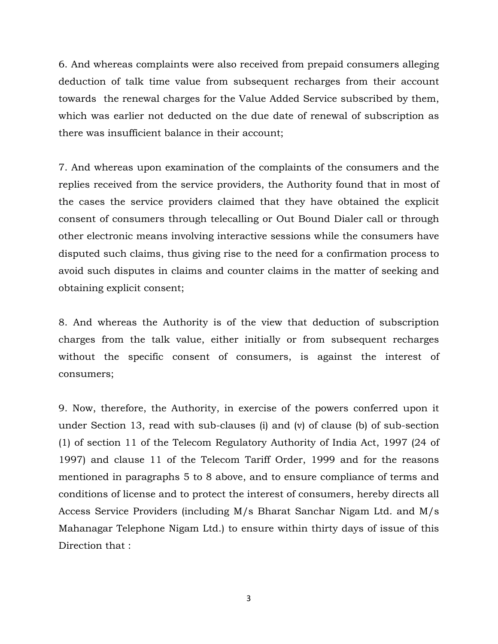6. And whereas complaints were also received from prepaid consumers alleging deduction of talk time value from subsequent recharges from their account towards the renewal charges for the Value Added Service subscribed by them, which was earlier not deducted on the due date of renewal of subscription as there was insufficient balance in their account;

7. And whereas upon examination of the complaints of the consumers and the replies received from the service providers, the Authority found that in most of the cases the service providers claimed that they have obtained the explicit consent of consumers through telecalling or Out Bound Dialer call or through other electronic means involving interactive sessions while the consumers have disputed such claims, thus giving rise to the need for a confirmation process to avoid such disputes in claims and counter claims in the matter of seeking and obtaining explicit consent;

8. And whereas the Authority is of the view that deduction of subscription charges from the talk value, either initially or from subsequent recharges without the specific consent of consumers, is against the interest of consumers;

9. Now, therefore, the Authority, in exercise of the powers conferred upon it under Section 13, read with sub-clauses (i) and (v) of clause (b) of sub-section (1) of section 11 of the Telecom Regulatory Authority of India Act, 1997 (24 of 1997) and clause 11 of the Telecom Tariff Order, 1999 and for the reasons mentioned in paragraphs 5 to 8 above, and to ensure compliance of terms and conditions of license and to protect the interest of consumers, hereby directs all Access Service Providers (including M/s Bharat Sanchar Nigam Ltd. and M/s Mahanagar Telephone Nigam Ltd.) to ensure within thirty days of issue of this Direction that :